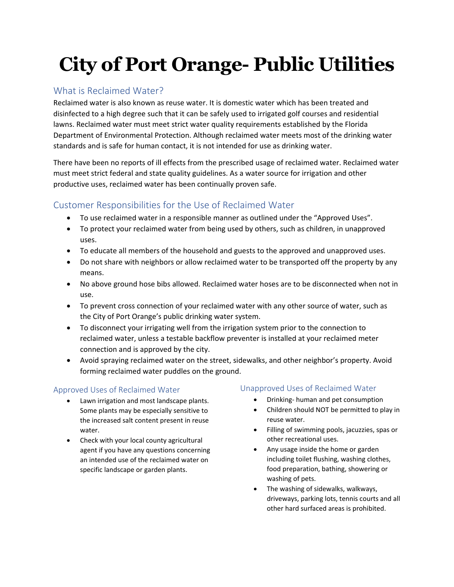# **City of Port Orange- Public Utilities**

## What is Reclaimed Water?

Reclaimed water is also known as reuse water. It is domestic water which has been treated and disinfected to a high degree such that it can be safely used to irrigated golf courses and residential lawns. Reclaimed water must meet strict water quality requirements established by the Florida Department of Environmental Protection. Although reclaimed water meets most of the drinking water standards and is safe for human contact, it is not intended for use as drinking water.

There have been no reports of ill effects from the prescribed usage of reclaimed water. Reclaimed water must meet strict federal and state quality guidelines. As a water source for irrigation and other productive uses, reclaimed water has been continually proven safe.

## Customer Responsibilities for the Use of Reclaimed Water

- To use reclaimed water in a responsible manner as outlined under the "Approved Uses".
- To protect your reclaimed water from being used by others, such as children, in unapproved uses.
- To educate all members of the household and guests to the approved and unapproved uses.
- Do not share with neighbors or allow reclaimed water to be transported off the property by any means.
- No above ground hose bibs allowed. Reclaimed water hoses are to be disconnected when not in use.
- To prevent cross connection of your reclaimed water with any other source of water, such as the City of Port Orange's public drinking water system.
- To disconnect your irrigating well from the irrigation system prior to the connection to reclaimed water, unless a testable backflow preventer is installed at your reclaimed meter connection and is approved by the city.
- Avoid spraying reclaimed water on the street, sidewalks, and other neighbor's property. Avoid forming reclaimed water puddles on the ground.

### Approved Uses of Reclaimed Water

- Lawn irrigation and most landscape plants. Some plants may be especially sensitive to the increased salt content present in reuse water.
- Check with your local county agricultural agent if you have any questions concerning an intended use of the reclaimed water on specific landscape or garden plants.

### Unapproved Uses of Reclaimed Water

- Drinking- human and pet consumption
- Children should NOT be permitted to play in reuse water.
- Filling of swimming pools, jacuzzies, spas or other recreational uses.
- Any usage inside the home or garden including toilet flushing, washing clothes, food preparation, bathing, showering or washing of pets.
- The washing of sidewalks, walkways, driveways, parking lots, tennis courts and all other hard surfaced areas is prohibited.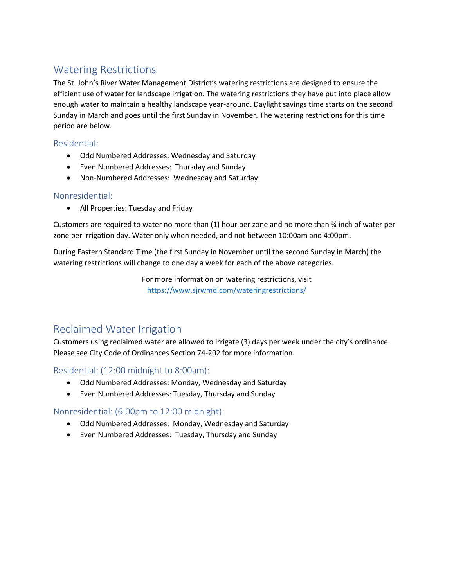# Watering Restrictions

The St. John's River Water Management District's watering restrictions are designed to ensure the efficient use of water for landscape irrigation. The watering restrictions they have put into place allow enough water to maintain a healthy landscape year-around. Daylight savings time starts on the second Sunday in March and goes until the first Sunday in November. The watering restrictions for this time period are below.

### Residential:

- Odd Numbered Addresses: Wednesday and Saturday
- Even Numbered Addresses: Thursday and Sunday
- Non-Numbered Addresses: Wednesday and Saturday

#### Nonresidential:

• All Properties: Tuesday and Friday

Customers are required to water no more than (1) hour per zone and no more than ¾ inch of water per zone per irrigation day. Water only when needed, and not between 10:00am and 4:00pm.

During Eastern Standard Time (the first Sunday in November until the second Sunday in March) the watering restrictions will change to one day a week for each of the above categories.

> For more information on watering restrictions, visit <https://www.sjrwmd.com/wateringrestrictions/>

# Reclaimed Water Irrigation

Customers using reclaimed water are allowed to irrigate (3) days per week under the city's ordinance. Please see City Code of Ordinances Section 74-202 for more information.

Residential: (12:00 midnight to 8:00am):

- Odd Numbered Addresses: Monday, Wednesday and Saturday
- Even Numbered Addresses: Tuesday, Thursday and Sunday

### Nonresidential: (6:00pm to 12:00 midnight):

- Odd Numbered Addresses: Monday, Wednesday and Saturday
- Even Numbered Addresses: Tuesday, Thursday and Sunday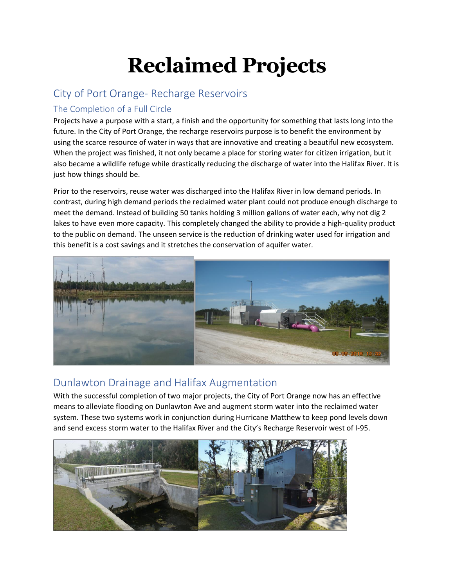# **Reclaimed Projects**

## City of Port Orange- Recharge Reservoirs

## The Completion of a Full Circle

Projects have a purpose with a start, a finish and the opportunity for something that lasts long into the future. In the City of Port Orange, the recharge reservoirs purpose is to benefit the environment by using the scarce resource of water in ways that are innovative and creating a beautiful new ecosystem. When the project was finished, it not only became a place for storing water for citizen irrigation, but it also became a wildlife refuge while drastically reducing the discharge of water into the Halifax River. It is just how things should be.

Prior to the reservoirs, reuse water was discharged into the Halifax River in low demand periods. In contrast, during high demand periods the reclaimed water plant could not produce enough discharge to meet the demand. Instead of building 50 tanks holding 3 million gallons of water each, why not dig 2 lakes to have even more capacity. This completely changed the ability to provide a high-quality product to the public on demand. The unseen service is the reduction of drinking water used for irrigation and this benefit is a cost savings and it stretches the conservation of aquifer water.



## Dunlawton Drainage and Halifax Augmentation

With the successful completion of two major projects, the City of Port Orange now has an effective means to alleviate flooding on Dunlawton Ave and augment storm water into the reclaimed water system. These two systems work in conjunction during Hurricane Matthew to keep pond levels down and send excess storm water to the Halifax River and the City's Recharge Reservoir west of I-95.

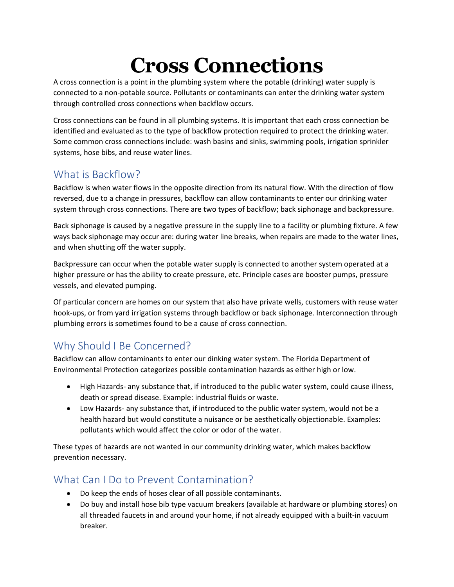# **Cross Connections**

A cross connection is a point in the plumbing system where the potable (drinking) water supply is connected to a non-potable source. Pollutants or contaminants can enter the drinking water system through controlled cross connections when backflow occurs.

Cross connections can be found in all plumbing systems. It is important that each cross connection be identified and evaluated as to the type of backflow protection required to protect the drinking water. Some common cross connections include: wash basins and sinks, swimming pools, irrigation sprinkler systems, hose bibs, and reuse water lines.

# What is Backflow?

Backflow is when water flows in the opposite direction from its natural flow. With the direction of flow reversed, due to a change in pressures, backflow can allow contaminants to enter our drinking water system through cross connections. There are two types of backflow; back siphonage and backpressure.

Back siphonage is caused by a negative pressure in the supply line to a facility or plumbing fixture. A few ways back siphonage may occur are: during water line breaks, when repairs are made to the water lines, and when shutting off the water supply.

Backpressure can occur when the potable water supply is connected to another system operated at a higher pressure or has the ability to create pressure, etc. Principle cases are booster pumps, pressure vessels, and elevated pumping.

Of particular concern are homes on our system that also have private wells, customers with reuse water hook-ups, or from yard irrigation systems through backflow or back siphonage. Interconnection through plumbing errors is sometimes found to be a cause of cross connection.

# Why Should I Be Concerned?

Backflow can allow contaminants to enter our dinking water system. The Florida Department of Environmental Protection categorizes possible contamination hazards as either high or low.

- High Hazards- any substance that, if introduced to the public water system, could cause illness, death or spread disease. Example: industrial fluids or waste.
- Low Hazards- any substance that, if introduced to the public water system, would not be a health hazard but would constitute a nuisance or be aesthetically objectionable. Examples: pollutants which would affect the color or odor of the water.

These types of hazards are not wanted in our community drinking water, which makes backflow prevention necessary.

# What Can I Do to Prevent Contamination?

- Do keep the ends of hoses clear of all possible contaminants.
- Do buy and install hose bib type vacuum breakers (available at hardware or plumbing stores) on all threaded faucets in and around your home, if not already equipped with a built-in vacuum breaker.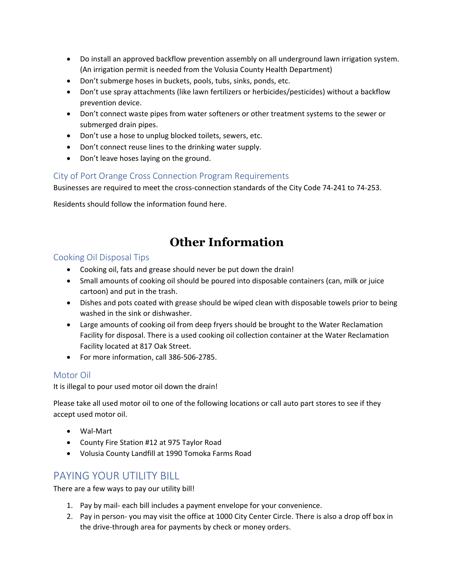- Do install an approved backflow prevention assembly on all underground lawn irrigation system. (An irrigation permit is needed from the Volusia County Health Department)
- Don't submerge hoses in buckets, pools, tubs, sinks, ponds, etc.
- Don't use spray attachments (like lawn fertilizers or herbicides/pesticides) without a backflow prevention device.
- Don't connect waste pipes from water softeners or other treatment systems to the sewer or submerged drain pipes.
- Don't use a hose to unplug blocked toilets, sewers, etc.
- Don't connect reuse lines to the drinking water supply.
- Don't leave hoses laying on the ground.

### City of Port Orange Cross Connection Program Requirements

Businesses are required to meet the cross-connection standards of the City Code 74-241 to 74-253.

Residents should follow the information found here.

# **Other Information**

### Cooking Oil Disposal Tips

- Cooking oil, fats and grease should never be put down the drain!
- Small amounts of cooking oil should be poured into disposable containers (can, milk or juice cartoon) and put in the trash.
- Dishes and pots coated with grease should be wiped clean with disposable towels prior to being washed in the sink or dishwasher.
- Large amounts of cooking oil from deep fryers should be brought to the Water Reclamation Facility for disposal. There is a used cooking oil collection container at the Water Reclamation Facility located at 817 Oak Street.
- For more information, call 386-506-2785.

### Motor Oil

It is illegal to pour used motor oil down the drain!

Please take all used motor oil to one of the following locations or call auto part stores to see if they accept used motor oil.

- Wal-Mart
- County Fire Station #12 at 975 Taylor Road
- Volusia County Landfill at 1990 Tomoka Farms Road

## PAYING YOUR UTILITY BILL

There are a few ways to pay our utility bill!

- 1. Pay by mail- each bill includes a payment envelope for your convenience.
- 2. Pay in person- you may visit the office at 1000 City Center Circle. There is also a drop off box in the drive-through area for payments by check or money orders.